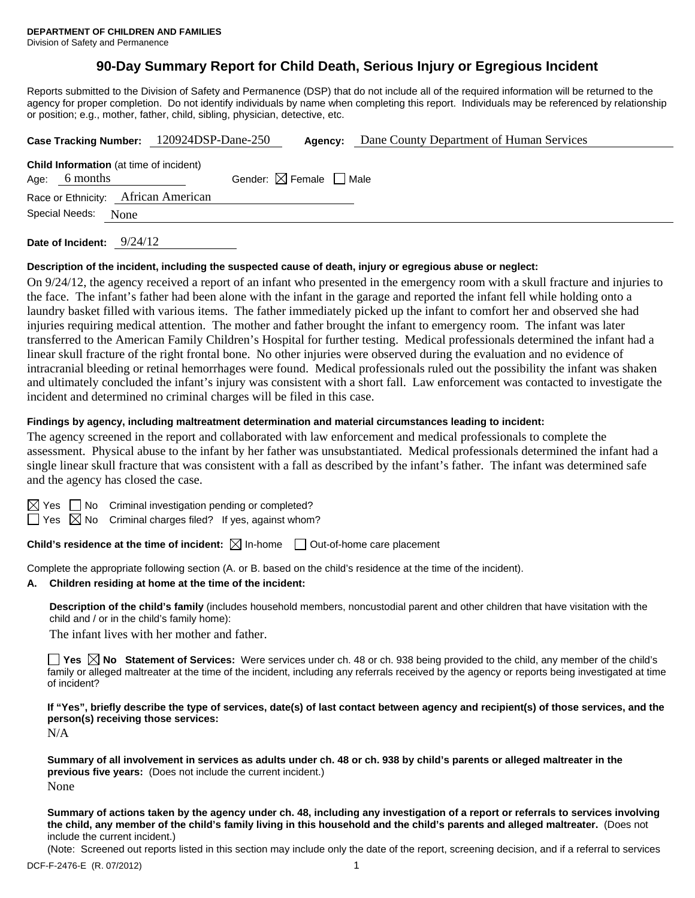# **90-Day Summary Report for Child Death, Serious Injury or Egregious Incident**

Reports submitted to the Division of Safety and Permanence (DSP) that do not include all of the required information will be returned to the agency for proper completion. Do not identify individuals by name when completing this report. Individuals may be referenced by relationship or position; e.g., mother, father, child, sibling, physician, detective, etc.

|                        |          | Case Tracking Number: 120924DSP-Dane-250       |                                        | Agency: | Dane County Department of Human Services |  |
|------------------------|----------|------------------------------------------------|----------------------------------------|---------|------------------------------------------|--|
| Age:                   | 6 months | <b>Child Information</b> (at time of incident) | Gender: $\boxtimes$ Female $\Box$ Male |         |                                          |  |
|                        |          | Race or Ethnicity: African American            |                                        |         |                                          |  |
| Special Needs:<br>None |          |                                                |                                        |         |                                          |  |
|                        |          |                                                |                                        |         |                                          |  |

**Date of Incident:** 9/24/12

#### **Description of the incident, including the suspected cause of death, injury or egregious abuse or neglect:**

On 9/24/12, the agency received a report of an infant who presented in the emergency room with a skull fracture and injuries to the face. The infant's father had been alone with the infant in the garage and reported the infant fell while holding onto a laundry basket filled with various items. The father immediately picked up the infant to comfort her and observed she had injuries requiring medical attention. The mother and father brought the infant to emergency room. The infant was later transferred to the American Family Children's Hospital for further testing. Medical professionals determined the infant had a linear skull fracture of the right frontal bone. No other injuries were observed during the evaluation and no evidence of intracranial bleeding or retinal hemorrhages were found. Medical professionals ruled out the possibility the infant was shaken and ultimately concluded the infant's injury was consistent with a short fall. Law enforcement was contacted to investigate the incident and determined no criminal charges will be filed in this case.

#### **Findings by agency, including maltreatment determination and material circumstances leading to incident:**

The agency screened in the report and collaborated with law enforcement and medical professionals to complete the assessment. Physical abuse to the infant by her father was unsubstantiated. Medical professionals determined the infant had a single linear skull fracture that was consistent with a fall as described by the infant's father. The infant was determined safe and the agency has closed the case.

 $\Box$  No Criminal investigation pending or completed?

 $\Box$  Yes  $\boxtimes$  No Criminal charges filed? If yes, against whom?

**Child's residence at the time of incident:**  $\boxtimes$  In-home  $\Box$  Out-of-home care placement

Complete the appropriate following section (A. or B. based on the child's residence at the time of the incident).

## **A. Children residing at home at the time of the incident:**

**Description of the child's family** (includes household members, noncustodial parent and other children that have visitation with the child and / or in the child's family home):

The infant lives with her mother and father.

■ Yes **No** Statement of Services: Were services under ch. 48 or ch. 938 being provided to the child, any member of the child's family or alleged maltreater at the time of the incident, including any referrals received by the agency or reports being investigated at time of incident?

**If "Yes", briefly describe the type of services, date(s) of last contact between agency and recipient(s) of those services, and the person(s) receiving those services:** 

N/A

**Summary of all involvement in services as adults under ch. 48 or ch. 938 by child's parents or alleged maltreater in the previous five years:** (Does not include the current incident.) None

**Summary of actions taken by the agency under ch. 48, including any investigation of a report or referrals to services involving the child, any member of the child's family living in this household and the child's parents and alleged maltreater.** (Does not include the current incident.)

(Note: Screened out reports listed in this section may include only the date of the report, screening decision, and if a referral to services